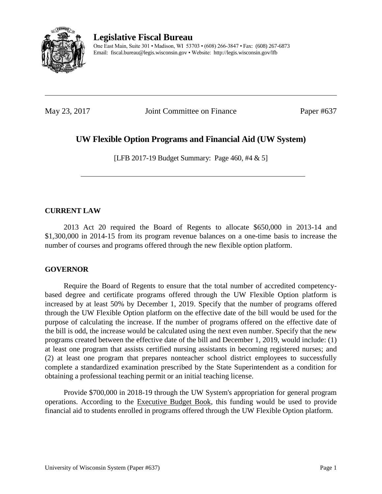

**Legislative Fiscal Bureau** One East Main, Suite 301 • Madison, WI 53703 • (608) 266-3847 • Fax: (608) 267-6873 Email: fiscal.bureau@legis.wisconsin.gov • Website:<http://legis.wisconsin.gov/lfb>

May 23, 2017 **Joint Committee on Finance** Paper #637

# **UW Flexible Option Programs and Financial Aid (UW System)**

[LFB 2017-19 Budget Summary: Page 460, #4 & 5]

### **CURRENT LAW**

2013 Act 20 required the Board of Regents to allocate \$650,000 in 2013-14 and \$1,300,000 in 2014-15 from its program revenue balances on a one-time basis to increase the number of courses and programs offered through the new flexible option platform.

### **GOVERNOR**

Require the Board of Regents to ensure that the total number of accredited competencybased degree and certificate programs offered through the UW Flexible Option platform is increased by at least 50% by December 1, 2019. Specify that the number of programs offered through the UW Flexible Option platform on the effective date of the bill would be used for the purpose of calculating the increase. If the number of programs offered on the effective date of the bill is odd, the increase would be calculated using the next even number. Specify that the new programs created between the effective date of the bill and December 1, 2019, would include: (1) at least one program that assists certified nursing assistants in becoming registered nurses; and (2) at least one program that prepares nonteacher school district employees to successfully complete a standardized examination prescribed by the State Superintendent as a condition for obtaining a professional teaching permit or an initial teaching license.

Provide \$700,000 in 2018-19 through the UW System's appropriation for general program operations. According to the Executive Budget Book, this funding would be used to provide financial aid to students enrolled in programs offered through the UW Flexible Option platform.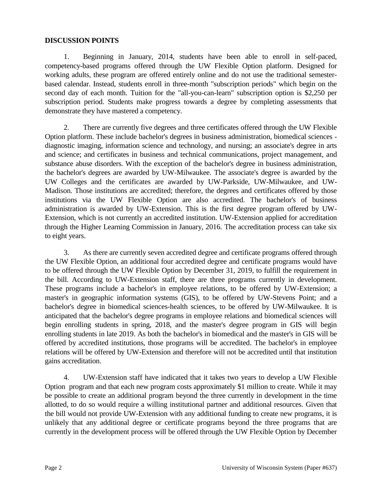#### **DISCUSSION POINTS**

1. Beginning in January, 2014, students have been able to enroll in self-paced, competency-based programs offered through the UW Flexible Option platform. Designed for working adults, these program are offered entirely online and do not use the traditional semesterbased calendar. Instead, students enroll in three-month "subscription periods" which begin on the second day of each month. Tuition for the "all-you-can-learn" subscription option is \$2,250 per subscription period. Students make progress towards a degree by completing assessments that demonstrate they have mastered a competency.

2. There are currently five degrees and three certificates offered through the UW Flexible Option platform. These include bachelor's degrees in business administration, biomedical sciences diagnostic imaging, information science and technology, and nursing; an associate's degree in arts and science; and certificates in business and technical communications, project management, and substance abuse disorders. With the exception of the bachelor's degree in business administration, the bachelor's degrees are awarded by UW-Milwaukee. The associate's degree is awarded by the UW Colleges and the certificates are awarded by UW-Parkside, UW-Milwaukee, and UW-Madison. Those institutions are accredited; therefore, the degrees and certificates offered by those institutions via the UW Flexible Option are also accredited. The bachelor's of business administration is awarded by UW-Extension. This is the first degree program offered by UW-Extension, which is not currently an accredited institution. UW-Extension applied for accreditation through the Higher Learning Commission in January, 2016. The accreditation process can take six to eight years.

3. As there are currently seven accredited degree and certificate programs offered through the UW Flexible Option, an additional four accredited degree and certificate programs would have to be offered through the UW Flexible Option by December 31, 2019, to fulfill the requirement in the bill. According to UW-Extension staff, there are three programs currently in development. These programs include a bachelor's in employee relations, to be offered by UW-Extension; a master's in geographic information systems (GIS), to be offered by UW-Stevens Point; and a bachelor's degree in biomedical sciences-health sciences, to be offered by UW-Milwaukee. It is anticipated that the bachelor's degree programs in employee relations and biomedical sciences will begin enrolling students in spring, 2018, and the master's degree program in GIS will begin enrolling students in late 2019. As both the bachelor's in biomedical and the master's in GIS will be offered by accredited institutions, those programs will be accredited. The bachelor's in employee relations will be offered by UW-Extension and therefore will not be accredited until that institution gains accreditation.

4. UW-Extension staff have indicated that it takes two years to develop a UW Flexible Option program and that each new program costs approximately \$1 million to create. While it may be possible to create an additional program beyond the three currently in development in the time allotted, to do so would require a willing institutional partner and additional resources. Given that the bill would not provide UW-Extension with any additional funding to create new programs, it is unlikely that any additional degree or certificate programs beyond the three programs that are currently in the development process will be offered through the UW Flexible Option by December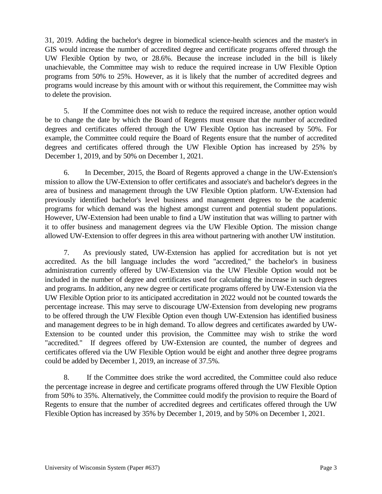31, 2019. Adding the bachelor's degree in biomedical science-health sciences and the master's in GIS would increase the number of accredited degree and certificate programs offered through the UW Flexible Option by two, or 28.6%. Because the increase included in the bill is likely unachievable, the Committee may wish to reduce the required increase in UW Flexible Option programs from 50% to 25%. However, as it is likely that the number of accredited degrees and programs would increase by this amount with or without this requirement, the Committee may wish to delete the provision.

5. If the Committee does not wish to reduce the required increase, another option would be to change the date by which the Board of Regents must ensure that the number of accredited degrees and certificates offered through the UW Flexible Option has increased by 50%. For example, the Committee could require the Board of Regents ensure that the number of accredited degrees and certificates offered through the UW Flexible Option has increased by 25% by December 1, 2019, and by 50% on December 1, 2021.

6. In December, 2015, the Board of Regents approved a change in the UW-Extension's mission to allow the UW-Extension to offer certificates and associate's and bachelor's degrees in the area of business and management through the UW Flexible Option platform. UW-Extension had previously identified bachelor's level business and management degrees to be the academic programs for which demand was the highest amongst current and potential student populations. However, UW-Extension had been unable to find a UW institution that was willing to partner with it to offer business and management degrees via the UW Flexible Option. The mission change allowed UW-Extension to offer degrees in this area without partnering with another UW institution.

7. As previously stated, UW-Extension has applied for accreditation but is not yet accredited. As the bill language includes the word "accredited," the bachelor's in business administration currently offered by UW-Extension via the UW Flexible Option would not be included in the number of degree and certificates used for calculating the increase in such degrees and programs. In addition, any new degree or certificate programs offered by UW-Extension via the UW Flexible Option prior to its anticipated accreditation in 2022 would not be counted towards the percentage increase. This may serve to discourage UW-Extension from developing new programs to be offered through the UW Flexible Option even though UW-Extension has identified business and management degrees to be in high demand. To allow degrees and certificates awarded by UW-Extension to be counted under this provision, the Committee may wish to strike the word "accredited." If degrees offered by UW-Extension are counted, the number of degrees and certificates offered via the UW Flexible Option would be eight and another three degree programs could be added by December 1, 2019, an increase of 37.5%.

8. If the Committee does strike the word accredited, the Committee could also reduce the percentage increase in degree and certificate programs offered through the UW Flexible Option from 50% to 35%. Alternatively, the Committee could modify the provision to require the Board of Regents to ensure that the number of accredited degrees and certificates offered through the UW Flexible Option has increased by 35% by December 1, 2019, and by 50% on December 1, 2021.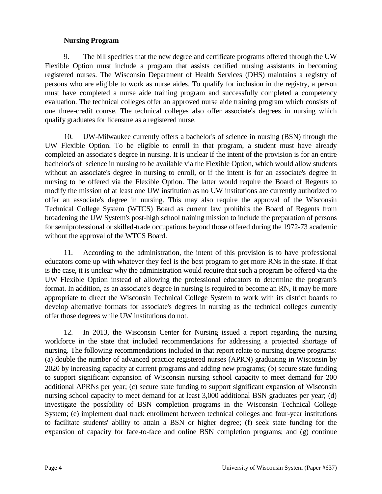#### **Nursing Program**

9. The bill specifies that the new degree and certificate programs offered through the UW Flexible Option must include a program that assists certified nursing assistants in becoming registered nurses. The Wisconsin Department of Health Services (DHS) maintains a registry of persons who are eligible to work as nurse aides. To qualify for inclusion in the registry, a person must have completed a nurse aide training program and successfully completed a competency evaluation. The technical colleges offer an approved nurse aide training program which consists of one three-credit course. The technical colleges also offer associate's degrees in nursing which qualify graduates for licensure as a registered nurse.

10. UW-Milwaukee currently offers a bachelor's of science in nursing (BSN) through the UW Flexible Option. To be eligible to enroll in that program, a student must have already completed an associate's degree in nursing. It is unclear if the intent of the provision is for an entire bachelor's of science in nursing to be available via the Flexible Option, which would allow students without an associate's degree in nursing to enroll, or if the intent is for an associate's degree in nursing to be offered via the Flexible Option. The latter would require the Board of Regents to modify the mission of at least one UW institution as no UW institutions are currently authorized to offer an associate's degree in nursing. This may also require the approval of the Wisconsin Technical College System (WTCS) Board as current law prohibits the Board of Regents from broadening the UW System's post-high school training mission to include the preparation of persons for semiprofessional or skilled-trade occupations beyond those offered during the 1972-73 academic without the approval of the WTCS Board.

11. According to the administration, the intent of this provision is to have professional educators come up with whatever they feel is the best program to get more RNs in the state. If that is the case, it is unclear why the administration would require that such a program be offered via the UW Flexible Option instead of allowing the professional educators to determine the program's format. In addition, as an associate's degree in nursing is required to become an RN, it may be more appropriate to direct the Wisconsin Technical College System to work with its district boards to develop alternative formats for associate's degrees in nursing as the technical colleges currently offer those degrees while UW institutions do not.

12. In 2013, the Wisconsin Center for Nursing issued a report regarding the nursing workforce in the state that included recommendations for addressing a projected shortage of nursing. The following recommendations included in that report relate to nursing degree programs: (a) double the number of advanced practice registered nurses (APRN) graduating in Wisconsin by 2020 by increasing capacity at current programs and adding new programs; (b) secure state funding to support significant expansion of Wisconsin nursing school capacity to meet demand for 200 additional APRNs per year; (c) secure state funding to support significant expansion of Wisconsin nursing school capacity to meet demand for at least 3,000 additional BSN graduates per year; (d) investigate the possibility of BSN completion programs in the Wisconsin Technical College System; (e) implement dual track enrollment between technical colleges and four-year institutions to facilitate students' ability to attain a BSN or higher degree; (f) seek state funding for the expansion of capacity for face-to-face and online BSN completion programs; and (g) continue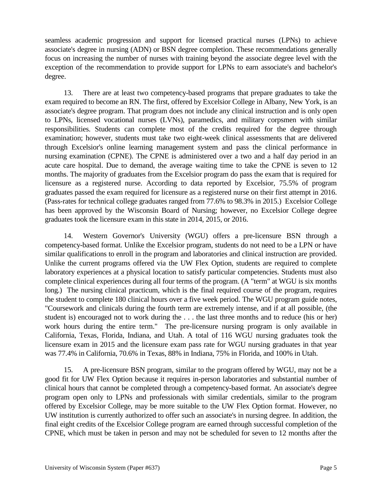seamless academic progression and support for licensed practical nurses (LPNs) to achieve associate's degree in nursing (ADN) or BSN degree completion. These recommendations generally focus on increasing the number of nurses with training beyond the associate degree level with the exception of the recommendation to provide support for LPNs to earn associate's and bachelor's degree.

13. There are at least two competency-based programs that prepare graduates to take the exam required to become an RN. The first, offered by Excelsior College in Albany, New York, is an associate's degree program. That program does not include any clinical instruction and is only open to LPNs, licensed vocational nurses (LVNs), paramedics, and military corpsmen with similar responsibilities. Students can complete most of the credits required for the degree through examination; however, students must take two eight-week clinical assessments that are delivered through Excelsior's online learning management system and pass the clinical performance in nursing examination (CPNE). The CPNE is administered over a two and a half day period in an acute care hospital. Due to demand, the average waiting time to take the CPNE is seven to 12 months. The majority of graduates from the Excelsior program do pass the exam that is required for licensure as a registered nurse. According to data reported by Excelsior, 75.5% of program graduates passed the exam required for licensure as a registered nurse on their first attempt in 2016. (Pass-rates for technical college graduates ranged from 77.6% to 98.3% in 2015.) Excelsior College has been approved by the Wisconsin Board of Nursing; however, no Excelsior College degree graduates took the licensure exam in this state in 2014, 2015, or 2016.

14. Western Governor's University (WGU) offers a pre-licensure BSN through a competency-based format. Unlike the Excelsior program, students do not need to be a LPN or have similar qualifications to enroll in the program and laboratories and clinical instruction are provided. Unlike the current programs offered via the UW Flex Option, students are required to complete laboratory experiences at a physical location to satisfy particular competencies. Students must also complete clinical experiences during all four terms of the program. (A "term" at WGU is six months long.) The nursing clinical practicum, which is the final required course of the program, requires the student to complete 180 clinical hours over a five week period. The WGU program guide notes, "Coursework and clinicals during the fourth term are extremely intense, and if at all possible, (the student is) encouraged not to work during the . . . the last three months and to reduce (his or her) work hours during the entire term." The pre-licensure nursing program is only available in California, Texas, Florida, Indiana, and Utah. A total of 116 WGU nursing graduates took the licensure exam in 2015 and the licensure exam pass rate for WGU nursing graduates in that year was 77.4% in California, 70.6% in Texas, 88% in Indiana, 75% in Florida, and 100% in Utah.

15. A pre-licensure BSN program, similar to the program offered by WGU, may not be a good fit for UW Flex Option because it requires in-person laboratories and substantial number of clinical hours that cannot be completed through a competency-based format. An associate's degree program open only to LPNs and professionals with similar credentials, similar to the program offered by Excelsior College, may be more suitable to the UW Flex Option format. However, no UW institution is currently authorized to offer such an associate's in nursing degree. In addition, the final eight credits of the Excelsior College program are earned through successful completion of the CPNE, which must be taken in person and may not be scheduled for seven to 12 months after the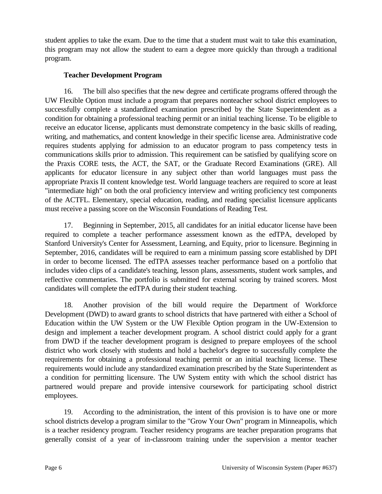student applies to take the exam. Due to the time that a student must wait to take this examination, this program may not allow the student to earn a degree more quickly than through a traditional program.

### **Teacher Development Program**

16. The bill also specifies that the new degree and certificate programs offered through the UW Flexible Option must include a program that prepares nonteacher school district employees to successfully complete a standardized examination prescribed by the State Superintendent as a condition for obtaining a professional teaching permit or an initial teaching license. To be eligible to receive an educator license, applicants must demonstrate competency in the basic skills of reading, writing, and mathematics, and content knowledge in their specific license area. Administrative code requires students applying for admission to an educator program to pass competency tests in communications skills prior to admission. This requirement can be satisfied by qualifying score on the Praxis CORE tests, the ACT, the SAT, or the Graduate Record Examinations (GRE). All applicants for educator licensure in any subject other than world languages must pass the appropriate Praxis II content knowledge test. World language teachers are required to score at least "intermediate high" on both the oral proficiency interview and writing proficiency test components of the ACTFL. Elementary, special education, reading, and reading specialist licensure applicants must receive a passing score on the Wisconsin Foundations of Reading Test.

17. Beginning in September, 2015, all candidates for an initial educator license have been required to complete a teacher performance assessment known as the edTPA, developed by Stanford University's Center for Assessment, Learning, and Equity, prior to licensure. Beginning in September, 2016, candidates will be required to earn a minimum passing score established by DPI in order to become licensed. The edTPA assesses teacher performance based on a portfolio that includes video clips of a candidate's teaching, lesson plans, assessments, student work samples, and reflective commentaries. The portfolio is submitted for external scoring by trained scorers. Most candidates will complete the edTPA during their student teaching.

18. Another provision of the bill would require the Department of Workforce Development (DWD) to award grants to school districts that have partnered with either a School of Education within the UW System or the UW Flexible Option program in the UW-Extension to design and implement a teacher development program. A school district could apply for a grant from DWD if the teacher development program is designed to prepare employees of the school district who work closely with students and hold a bachelor's degree to successfully complete the requirements for obtaining a professional teaching permit or an initial teaching license. These requirements would include any standardized examination prescribed by the State Superintendent as a condition for permitting licensure. The UW System entity with which the school district has partnered would prepare and provide intensive coursework for participating school district employees.

19. According to the administration, the intent of this provision is to have one or more school districts develop a program similar to the "Grow Your Own" program in Minneapolis, which is a teacher residency program. Teacher residency programs are teacher preparation programs that generally consist of a year of in-classroom training under the supervision a mentor teacher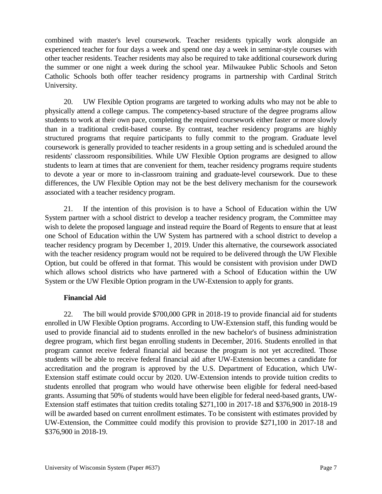combined with master's level coursework. Teacher residents typically work alongside an experienced teacher for four days a week and spend one day a week in seminar-style courses with other teacher residents. Teacher residents may also be required to take additional coursework during the summer or one night a week during the school year. Milwaukee Public Schools and Seton Catholic Schools both offer teacher residency programs in partnership with Cardinal Stritch University.

20. UW Flexible Option programs are targeted to working adults who may not be able to physically attend a college campus. The competency-based structure of the degree programs allow students to work at their own pace, completing the required coursework either faster or more slowly than in a traditional credit-based course. By contrast, teacher residency programs are highly structured programs that require participants to fully commit to the program. Graduate level coursework is generally provided to teacher residents in a group setting and is scheduled around the residents' classroom responsibilities. While UW Flexible Option programs are designed to allow students to learn at times that are convenient for them, teacher residency programs require students to devote a year or more to in-classroom training and graduate-level coursework. Due to these differences, the UW Flexible Option may not be the best delivery mechanism for the coursework associated with a teacher residency program.

21. If the intention of this provision is to have a School of Education within the UW System partner with a school district to develop a teacher residency program, the Committee may wish to delete the proposed language and instead require the Board of Regents to ensure that at least one School of Education within the UW System has partnered with a school district to develop a teacher residency program by December 1, 2019. Under this alternative, the coursework associated with the teacher residency program would not be required to be delivered through the UW Flexible Option, but could be offered in that format. This would be consistent with provision under DWD which allows school districts who have partnered with a School of Education within the UW System or the UW Flexible Option program in the UW-Extension to apply for grants.

### **Financial Aid**

22. The bill would provide \$700,000 GPR in 2018-19 to provide financial aid for students enrolled in UW Flexible Option programs. According to UW-Extension staff, this funding would be used to provide financial aid to students enrolled in the new bachelor's of business administration degree program, which first began enrolling students in December, 2016. Students enrolled in that program cannot receive federal financial aid because the program is not yet accredited. Those students will be able to receive federal financial aid after UW-Extension becomes a candidate for accreditation and the program is approved by the U.S. Department of Education, which UW-Extension staff estimate could occur by 2020. UW-Extension intends to provide tuition credits to students enrolled that program who would have otherwise been eligible for federal need-based grants. Assuming that 50% of students would have been eligible for federal need-based grants, UW-Extension staff estimates that tuition credits totaling \$271,100 in 2017-18 and \$376,900 in 2018-19 will be awarded based on current enrollment estimates. To be consistent with estimates provided by UW-Extension, the Committee could modify this provision to provide \$271,100 in 2017-18 and \$376,900 in 2018-19.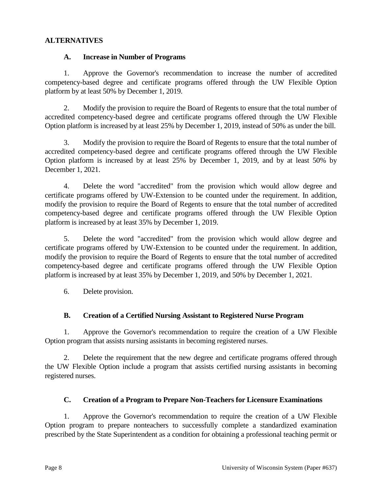#### **ALTERNATIVES**

#### **A. Increase in Number of Programs**

1. Approve the Governor's recommendation to increase the number of accredited competency-based degree and certificate programs offered through the UW Flexible Option platform by at least 50% by December 1, 2019.

2. Modify the provision to require the Board of Regents to ensure that the total number of accredited competency-based degree and certificate programs offered through the UW Flexible Option platform is increased by at least 25% by December 1, 2019, instead of 50% as under the bill.

3. Modify the provision to require the Board of Regents to ensure that the total number of accredited competency-based degree and certificate programs offered through the UW Flexible Option platform is increased by at least 25% by December 1, 2019, and by at least 50% by December 1, 2021.

4. Delete the word "accredited" from the provision which would allow degree and certificate programs offered by UW-Extension to be counted under the requirement. In addition, modify the provision to require the Board of Regents to ensure that the total number of accredited competency-based degree and certificate programs offered through the UW Flexible Option platform is increased by at least 35% by December 1, 2019.

5. Delete the word "accredited" from the provision which would allow degree and certificate programs offered by UW-Extension to be counted under the requirement. In addition, modify the provision to require the Board of Regents to ensure that the total number of accredited competency-based degree and certificate programs offered through the UW Flexible Option platform is increased by at least 35% by December 1, 2019, and 50% by December 1, 2021.

6. Delete provision.

## **B. Creation of a Certified Nursing Assistant to Registered Nurse Program**

1. Approve the Governor's recommendation to require the creation of a UW Flexible Option program that assists nursing assistants in becoming registered nurses.

2. Delete the requirement that the new degree and certificate programs offered through the UW Flexible Option include a program that assists certified nursing assistants in becoming registered nurses.

### **C. Creation of a Program to Prepare Non-Teachers for Licensure Examinations**

1. Approve the Governor's recommendation to require the creation of a UW Flexible Option program to prepare nonteachers to successfully complete a standardized examination prescribed by the State Superintendent as a condition for obtaining a professional teaching permit or